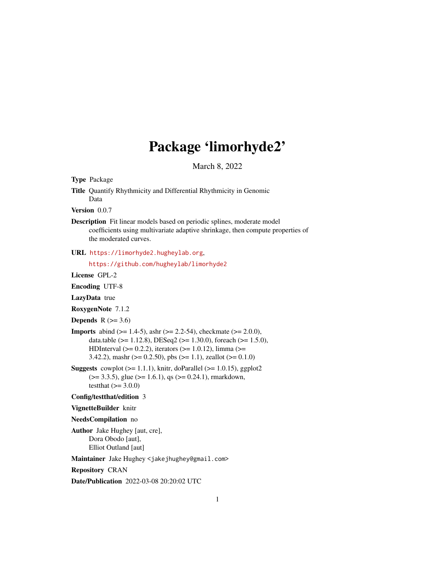# Package 'limorhyde2'

March 8, 2022

<span id="page-0-0"></span>Type Package

Title Quantify Rhythmicity and Differential Rhythmicity in Genomic Data

Version 0.0.7

Description Fit linear models based on periodic splines, moderate model coefficients using multivariate adaptive shrinkage, then compute properties of the moderated curves.

URL <https://limorhyde2.hugheylab.org>,

<https://github.com/hugheylab/limorhyde2>

License GPL-2

Encoding UTF-8

LazyData true

RoxygenNote 7.1.2

Depends  $R$  ( $>= 3.6$ )

- **Imports** abind ( $>= 1.4-5$ ), ashr ( $>= 2.2-54$ ), checkmate ( $>= 2.0.0$ ), data.table ( $>= 1.12.8$ ), DESeq2 ( $>= 1.30.0$ ), foreach ( $>= 1.5.0$ ), HDInterval ( $>= 0.2.2$ ), iterators ( $>= 1.0.12$ ), limma ( $>=$ 3.42.2), mashr ( $> = 0.2.50$ ), pbs ( $> = 1.1$ ), zeallot ( $> = 0.1.0$ )
- **Suggests** cowplot  $(>= 1.1.1)$ , knitr, doParallel  $(>= 1.0.15)$ , ggplot2  $(>= 3.3.5)$ , glue  $(>= 1.6.1)$ , qs  $(>= 0.24.1)$ , rmarkdown, testthat  $(>= 3.0.0)$

#### Config/testthat/edition 3

VignetteBuilder knitr

NeedsCompilation no

Author Jake Hughey [aut, cre], Dora Obodo [aut], Elliot Outland [aut]

Maintainer Jake Hughey <jakejhughey@gmail.com>

Repository CRAN

Date/Publication 2022-03-08 20:20:02 UTC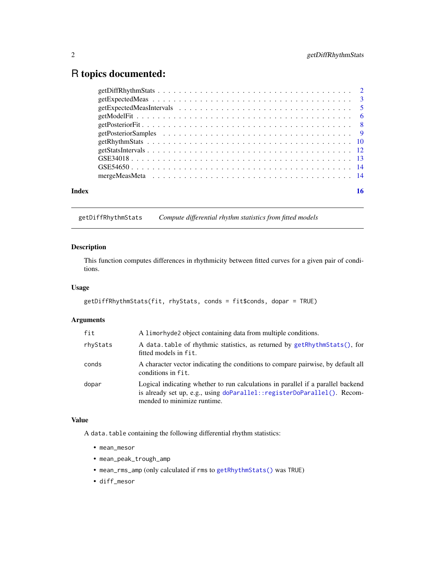# <span id="page-1-0"></span>R topics documented:

| Index |  |
|-------|--|
|       |  |
|       |  |
|       |  |
|       |  |
|       |  |
|       |  |
|       |  |
|       |  |
|       |  |
|       |  |
|       |  |

<span id="page-1-1"></span>getDiffRhythmStats *Compute differential rhythm statistics from fitted models*

# Description

This function computes differences in rhythmicity between fitted curves for a given pair of conditions.

# Usage

```
getDiffRhythmStats(fit, rhyStats, conds = fit$conds, dopar = TRUE)
```
# Arguments

| fit      | A limorhyde2 object containing data from multiple conditions.                                                                                                                              |
|----------|--------------------------------------------------------------------------------------------------------------------------------------------------------------------------------------------|
| rhyStats | A data.table of rhythmic statistics, as returned by getRhythmStats(), for<br>fitted models in fit.                                                                                         |
| conds    | A character vector indicating the conditions to compare pairwise, by default all<br>conditions in fit.                                                                                     |
| dopar    | Logical indicating whether to run calculations in parallel if a parallel backend<br>is already set up, e.g., using doParallel::registerDoParallel(). Recom-<br>mended to minimize runtime. |

# Value

A data.table containing the following differential rhythm statistics:

- mean\_mesor
- mean\_peak\_trough\_amp
- mean\_rms\_amp (only calculated if rms to [getRhythmStats\(\)](#page-9-1) was TRUE)
- diff\_mesor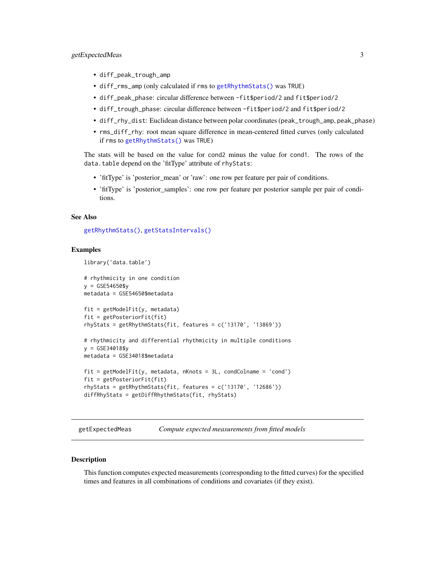# <span id="page-2-0"></span>getExpectedMeas 3

- diff\_peak\_trough\_amp
- diff\_rms\_amp (only calculated if rms to [getRhythmStats\(\)](#page-9-1) was TRUE)
- diff\_peak\_phase: circular difference between -fit\$period/2 and fit\$period/2
- diff\_trough\_phase: circular difference between -fit\$period/2 and fit\$period/2
- diff\_rhy\_dist: Euclidean distance between polar coordinates (peak\_trough\_amp, peak\_phase)
- rms\_diff\_rhy: root mean square difference in mean-centered fitted curves (only calculated if rms to [getRhythmStats\(\)](#page-9-1) was TRUE)

The stats will be based on the value for cond2 minus the value for cond1. The rows of the data.table depend on the 'fitType' attribute of rhyStats:

- 'fitType' is 'posterior\_mean' or 'raw': one row per feature per pair of conditions.
- 'fitType' is 'posterior samples': one row per feature per posterior sample per pair of conditions.

# See Also

[getRhythmStats\(\)](#page-9-1), [getStatsIntervals\(\)](#page-11-1)

#### Examples

```
library('data.table')
```

```
# rhythmicity in one condition
y = GSE54650$y
metadata = GSE54650$metadata
fit = getModelFit(y, metadata)
fit = getPosteriorFit(fit)
rhyStats = getRhythmStats(fit, features = c('13170', '13869'))
# rhythmicity and differential rhythmicity in multiple conditions
y = GSE34018$y
metadata = GSE34018$metadata
fit = getModelFit(y, metadata, nKnots = 3L, condColname = 'cond')fit = getPosteriorFit(fit)
rhyStats = getRhythmStats(fit, features = c('13170', '12686'))
diffRhyStats = getDiffRhythmStats(fit, rhyStats)
```
<span id="page-2-1"></span>getExpectedMeas *Compute expected measurements from fitted models*

#### **Description**

This function computes expected measurements (corresponding to the fitted curves) for the specified times and features in all combinations of conditions and covariates (if they exist).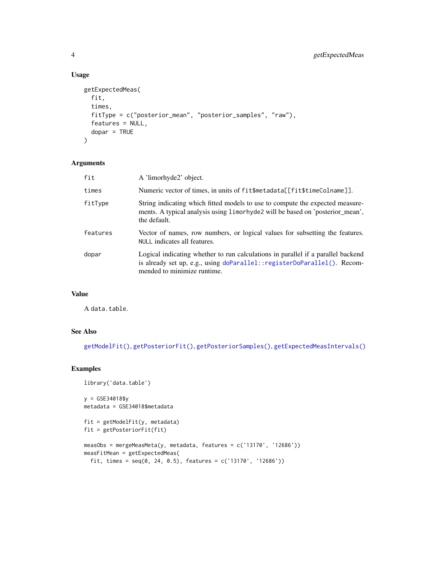# Usage

```
getExpectedMeas(
 fit,
  times,
 fitType = c("posterior_mean", "posterior_samples", "raw"),
 features = NULL,
 dopar = TRUE
\mathcal{L}
```
#### Arguments

| fit      | A 'limorhyde2' object.                                                                                                                                                                      |
|----------|---------------------------------------------------------------------------------------------------------------------------------------------------------------------------------------------|
| times    | Numeric vector of times, in units of fit\$metadata[[fit\$timeColname]].                                                                                                                     |
| fitType  | String indicating which fitted models to use to compute the expected measure-<br>ments. A typical analysis using limorhyde2 will be based on 'posterior_mean',<br>the default.              |
| features | Vector of names, row numbers, or logical values for subsetting the features.<br>NULL indicates all features.                                                                                |
| dopar    | Logical indicating whether to run calculations in parallel if a parallel backend<br>is already set up, e.g., using doParallel:: registerDoParallel(). Recom-<br>mended to minimize runtime. |

# Value

A data.table.

# See Also

[getModelFit\(\)](#page-5-1), [getPosteriorFit\(\)](#page-7-1), [getPosteriorSamples\(\)](#page-8-1), [getExpectedMeasIntervals\(\)](#page-4-1)

# Examples

```
library('data.table')
```
y = GSE34018\$y metadata = GSE34018\$metadata

```
fit = getModelFit(y, metadata)fit = getPosteriorFit(fit)
```

```
measObs = mergeMeasMeta(y, metadata, features = c('13170', '12686'))
measFitMean = getExpectedMeas(
  fit, times = seq(0, 24, 0.5), features = c('13170', '12686'))
```
<span id="page-3-0"></span>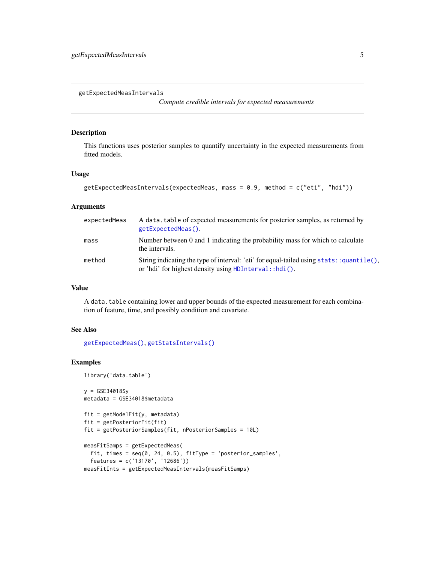<span id="page-4-1"></span><span id="page-4-0"></span>getExpectedMeasIntervals

*Compute credible intervals for expected measurements*

# Description

This functions uses posterior samples to quantify uncertainty in the expected measurements from fitted models.

#### Usage

```
getExpectedMeasIntervals(expectedMeas, mass = 0.9, method = c("eti", "hdi"))
```
# Arguments

| expectedMeas | A data, table of expected measurements for posterior samples, as returned by<br>getExpectedMeas().                                                            |
|--------------|---------------------------------------------------------------------------------------------------------------------------------------------------------------|
| mass         | Number between 0 and 1 indicating the probability mass for which to calculate<br>the intervals.                                                               |
| method       | String indicating the type of interval: 'eti' for equal-tailed using ${\text{stats}}$ : quantile(),<br>or 'hdi' for highest density using HDInterval: :hdi(). |

# Value

A data.table containing lower and upper bounds of the expected measurement for each combination of feature, time, and possibly condition and covariate.

# See Also

[getExpectedMeas\(\)](#page-2-1), [getStatsIntervals\(\)](#page-11-1)

# Examples

library('data.table')

```
y = GSE34018$y
metadata = GSE34018$metadata
fit = getModelFit(y, metadata)
fit = getPosteriorFit(fit)
fit = getPosteriorSamples(fit, nPosteriorSamples = 10L)
measFitSamps = getExpectedMeas(
  fit, times = seq(0, 24, 0.5), fitType = 'posterior_samples',
  features = c('13170', '12686'))
```
measFitInts = getExpectedMeasIntervals(measFitSamps)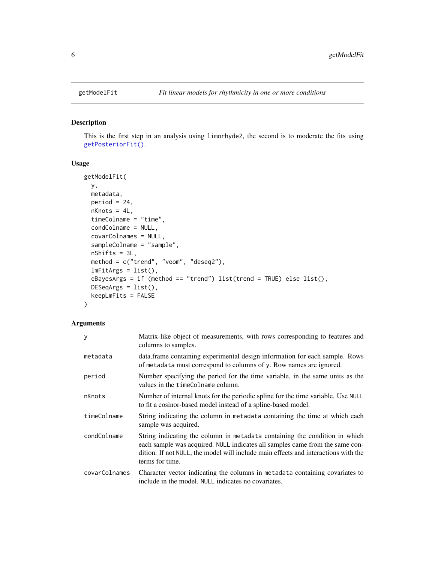# Description

This is the first step in an analysis using limorhyde2, the second is to moderate the fits using [getPosteriorFit\(\)](#page-7-1).

# Usage

```
getModelFit(
 y,
 metadata,
 period = 24,
 nKnots = 4L,
  timeColname = "time",
  condColname = NULL,
  covarColnames = NULL,
  sampleColname = "sample",
  nShifts = 3L,
 method = c("trend", "voom", "deseq2"),
  lmFitArgs = list(),
  eBayesArgs = if (method == "trend") list(trend = TRUE) else list(),
 DESeqArgs = list(),
  keepLmFits = FALSE
\mathcal{E}
```
# Arguments

| У             | Matrix-like object of measurements, with rows corresponding to features and<br>columns to samples.                                                                                                                                                                  |
|---------------|---------------------------------------------------------------------------------------------------------------------------------------------------------------------------------------------------------------------------------------------------------------------|
| metadata      | data. frame containing experimental design information for each sample. Rows<br>of metadata must correspond to columns of y. Row names are ignored.                                                                                                                 |
| period        | Number specifying the period for the time variable, in the same units as the<br>values in the timeColname column.                                                                                                                                                   |
| nKnots        | Number of internal knots for the periodic spline for the time variable. Use NULL<br>to fit a cosinor-based model instead of a spline-based model.                                                                                                                   |
| timeColname   | String indicating the column in metadata containing the time at which each<br>sample was acquired.                                                                                                                                                                  |
| condColname   | String indicating the column in metadata containing the condition in which<br>each sample was acquired. NULL indicates all samples came from the same con-<br>dition. If not NULL, the model will include main effects and interactions with the<br>terms for time. |
| covarColnames | Character vector indicating the columns in metadata containing covariates to<br>include in the model. NULL indicates no covariates.                                                                                                                                 |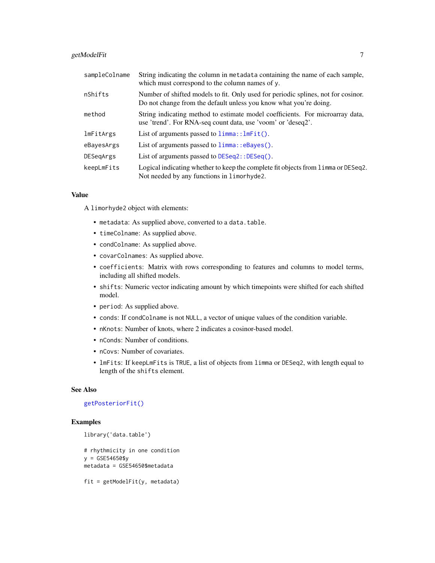# <span id="page-6-0"></span>getModelFit 7

| sampleColname | String indicating the column in metadata containing the name of each sample,<br>which must correspond to the column names of y.                        |
|---------------|--------------------------------------------------------------------------------------------------------------------------------------------------------|
| nShifts       | Number of shifted models to fit. Only used for periodic splines, not for cosinor.<br>Do not change from the default unless you know what you're doing. |
| method        | String indicating method to estimate model coefficients. For microarray data,<br>use 'trend'. For RNA-seq count data, use 'voom' or 'deseq2'.          |
| lmFitArgs     | List of arguments passed to $limmax:lmFit()$ .                                                                                                         |
| eBayesArgs    | List of arguments passed to limma:: eBayes().                                                                                                          |
| DESegArgs     | List of arguments passed to $DESeq2$ : : $DESeq()$ .                                                                                                   |
| keepLmFits    | Logical indicating whether to keep the complete fit objects from limma or DESeq2.<br>Not needed by any functions in limorhyde2.                        |

#### Value

A limorhyde2 object with elements:

- metadata: As supplied above, converted to a data.table.
- timeColname: As supplied above.
- condColname: As supplied above.
- covarColnames: As supplied above.
- coefficients: Matrix with rows corresponding to features and columns to model terms, including all shifted models.
- shifts: Numeric vector indicating amount by which timepoints were shifted for each shifted model.
- period: As supplied above.
- conds: If condColname is not NULL, a vector of unique values of the condition variable.
- nKnots: Number of knots, where 2 indicates a cosinor-based model.
- nConds: Number of conditions.
- nCovs: Number of covariates.
- lmFits: If keepLmFits is TRUE, a list of objects from limma or DESeq2, with length equal to length of the shifts element.

#### See Also

#### [getPosteriorFit\(\)](#page-7-1)

# Examples

```
library('data.table')
```

```
# rhythmicity in one condition
y = GSE54650$y
metadata = GSE54650$metadata
```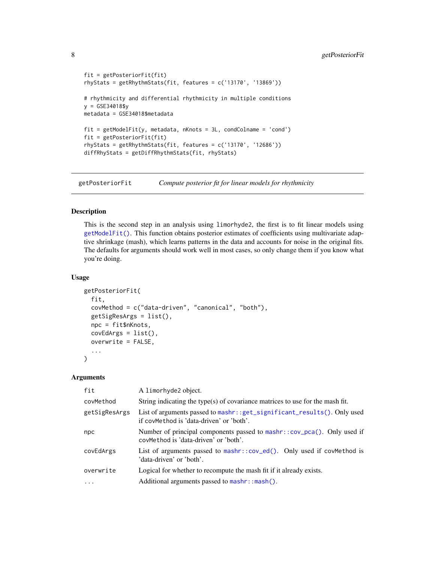```
fit = getPosteriorFit(fit)
rhyStats = getRhythmStats(fit, features = c('13170', '13869'))
# rhythmicity and differential rhythmicity in multiple conditions
y = GSE34018$y
metadata = GSE34018$metadata
fit = getModelFit(y, metadata, nKnots = 3L, condColname = 'cond')fit = getPosteriorFit(fit)
rhyStats = getRhythmStats(fit, features = c('13170', '12686'))
diffRhyStats = getDiffRhythmStats(fit, rhyStats)
```
<span id="page-7-1"></span>getPosteriorFit *Compute posterior fit for linear models for rhythmicity*

#### Description

This is the second step in an analysis using limorhyde2, the first is to fit linear models using [getModelFit\(\)](#page-5-1). This function obtains posterior estimates of coefficients using multivariate adaptive shrinkage (mash), which learns patterns in the data and accounts for noise in the original fits. The defaults for arguments should work well in most cases, so only change them if you know what you're doing.

# Usage

```
getPosteriorFit(
  fit,
  covMethod = c("data-driven", "canonical", "both"),
  getSigResArgs = list(),
  npc = fit$nKnots,
  covEdArgs = list(),
  overwrite = FALSE,
  ...
)
```
#### Arguments

| fit           | A limorhyde2 object.                                                                                                          |
|---------------|-------------------------------------------------------------------------------------------------------------------------------|
| covMethod     | String indicating the type(s) of covariance matrices to use for the mash fit.                                                 |
| getSigResArgs | List of arguments passed to mashr:: get_significant_results(). Only used<br>if covMethod is 'data-driven' or 'both'.          |
| npc           | Number of principal components passed to mashr:: $cov_pca()$ . Only used if<br>covMethod is 'data-driven' or 'both'.          |
| covEdArgs     | List of arguments passed to $\text{mask}$ :: $\text{cov}_\text{ed}()$ . Only used if covMethod is<br>'data-driven' or 'both'. |
| overwrite     | Logical for whether to recompute the mash fit if it already exists.                                                           |
| $\ddotsc$     | Additional arguments passed to mashr:: mash().                                                                                |

<span id="page-7-0"></span>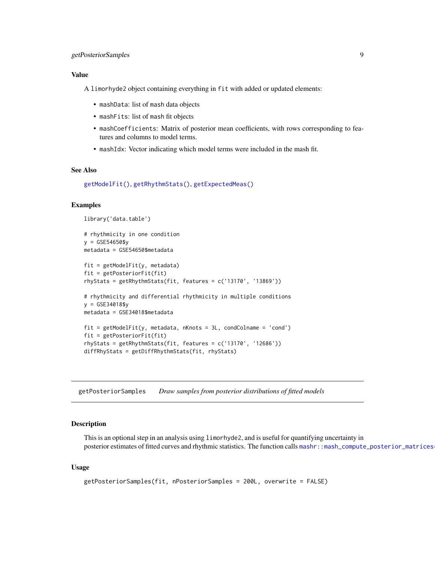# <span id="page-8-0"></span>getPosteriorSamples 9

# Value

A limorhyde2 object containing everything in fit with added or updated elements:

- mashData: list of mash data objects
- mashFits: list of mash fit objects
- mashCoefficients: Matrix of posterior mean coefficients, with rows corresponding to features and columns to model terms.
- mashIdx: Vector indicating which model terms were included in the mash fit.

#### See Also

[getModelFit\(\)](#page-5-1), [getRhythmStats\(\)](#page-9-1), [getExpectedMeas\(\)](#page-2-1)

#### Examples

```
library('data.table')
# rhythmicity in one condition
y = GSE54650$y
metadata = GSE54650$metadata
fit = getModelFit(y, metadata)
fit = getPosteriorFit(fit)
rhyStats = getRhythmStats(fit, features = c('13170', '13869'))
# rhythmicity and differential rhythmicity in multiple conditions
y = GSE34018$y
metadata = GSE34018$metadata
fit = getModelFit(y, metadata, nKnots = 3L, condColname = 'cond')fit = getPosteriorFit(fit)
rhyStats = getRhythmStats(fit, features = c('13170', '12686'))
diffRhyStats = getDiffRhythmStats(fit, rhyStats)
```
<span id="page-8-1"></span>getPosteriorSamples *Draw samples from posterior distributions of fitted models*

#### Description

This is an optional step in an analysis using limorhyde2, and is useful for quantifying uncertainty in posterior estimates of fitted curves and rhythmic statistics. The function calls mashr: :mash\_compute\_posterior\_matrices

#### Usage

```
getPosteriorSamples(fit, nPosteriorSamples = 200L, overwrite = FALSE)
```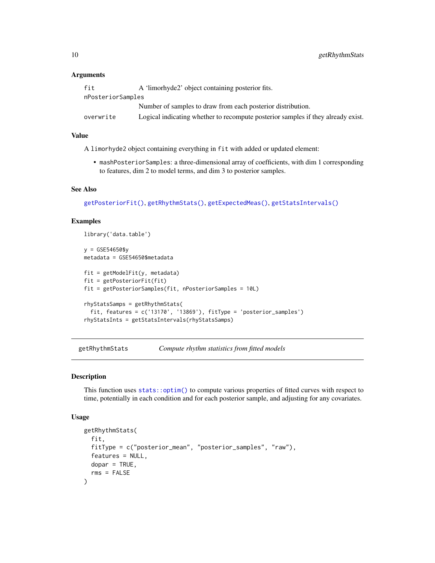#### **Arguments**

| fit               | A 'limorhyde2' object containing posterior fits.                                 |  |
|-------------------|----------------------------------------------------------------------------------|--|
| nPosteriorSamples |                                                                                  |  |
|                   | Number of samples to draw from each posterior distribution.                      |  |
| overwrite         | Logical indicating whether to recompute posterior samples if they already exist. |  |

#### Value

A limorhyde2 object containing everything in fit with added or updated element:

• mashPosteriorSamples: a three-dimensional array of coefficients, with dim 1 corresponding to features, dim 2 to model terms, and dim 3 to posterior samples.

#### See Also

[getPosteriorFit\(\)](#page-7-1), [getRhythmStats\(\)](#page-9-1), [getExpectedMeas\(\)](#page-2-1), [getStatsIntervals\(\)](#page-11-1)

#### Examples

```
library('data.table')
y = GSE54650$y
metadata = GSE54650$metadata
fit = getModelFit(y, metadata)
fit = getPosteriorFit(fit)
fit = getPosteriorSamples(fit, nPosteriorSamples = 10L)
rhyStatsSamps = getRhythmStats(
  fit, features = c('13170', '13869'), fitType = 'posterior_samples')
rhyStatsInts = getStatsIntervals(rhyStatsSamps)
```
<span id="page-9-1"></span>getRhythmStats *Compute rhythm statistics from fitted models*

#### Description

This function uses [stats::optim\(\)](#page-0-0) to compute various properties of fitted curves with respect to time, potentially in each condition and for each posterior sample, and adjusting for any covariates.

#### Usage

```
getRhythmStats(
  fit,
  fitType = c("posterior_mean", "posterior_samples", "raw"),
  features = NULL,
  dopar = TRUE,rms = FALSE
)
```
<span id="page-9-0"></span>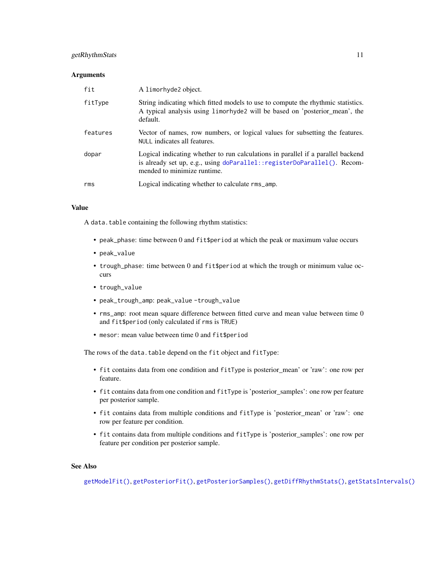# <span id="page-10-0"></span>getRhythmStats 11

#### **Arguments**

| fit      | A limorhyde2 object.                                                                                                                                                                       |
|----------|--------------------------------------------------------------------------------------------------------------------------------------------------------------------------------------------|
| fitType  | String indicating which fitted models to use to compute the rhythmic statistics.<br>A typical analysis using limorhyde2 will be based on 'posterior_mean', the<br>default.                 |
| features | Vector of names, row numbers, or logical values for subsetting the features.<br>NULL indicates all features.                                                                               |
| dopar    | Logical indicating whether to run calculations in parallel if a parallel backend<br>is already set up, e.g., using doParallel::registerDoParallel(). Recom-<br>mended to minimize runtime. |
| rms      | Logical indicating whether to calculate rms_amp.                                                                                                                                           |

# Value

A data.table containing the following rhythm statistics:

- peak\_phase: time between 0 and fit\$period at which the peak or maximum value occurs
- peak\_value
- trough\_phase: time between 0 and fit\$period at which the trough or minimum value occurs
- trough\_value
- peak\_trough\_amp: peak\_value -trough\_value
- rms\_amp: root mean square difference between fitted curve and mean value between time 0 and fit\$period (only calculated if rms is TRUE)
- mesor: mean value between time 0 and fit\$period

The rows of the data.table depend on the fit object and fitType:

- fit contains data from one condition and fitType is posterior\_mean' or 'raw': one row per feature.
- fit contains data from one condition and fitType is 'posterior\_samples': one row per feature per posterior sample.
- fit contains data from multiple conditions and fitType is 'posterior\_mean' or 'raw': one row per feature per condition.
- fit contains data from multiple conditions and fitType is 'posterior\_samples': one row per feature per condition per posterior sample.

# See Also

[getModelFit\(\)](#page-5-1), [getPosteriorFit\(\)](#page-7-1), [getPosteriorSamples\(\)](#page-8-1), [getDiffRhythmStats\(\)](#page-1-1), [getStatsIntervals\(\)](#page-11-1)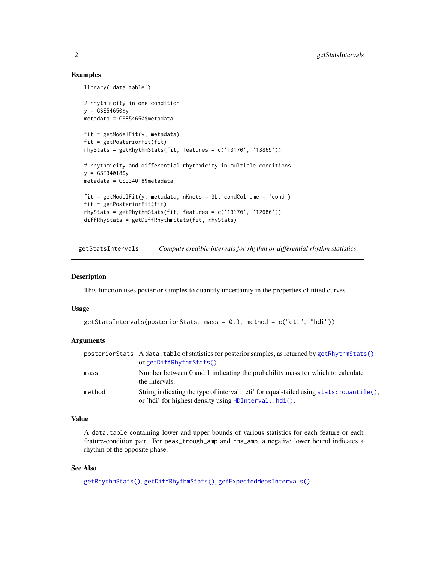# Examples

```
library('data.table')
# rhythmicity in one condition
v = GSE54650$v
metadata = GSE54650$metadata
fit = getModelFit(y, metadata)
fit = getPosteriorFit(fit)
rhyStats = getRhythmStats(fit, features = c('13170', '13869'))
# rhythmicity and differential rhythmicity in multiple conditions
y = GSE34018$y
metadata = GSE34018$metadata
fit = getModelFit(y, metadata, nKnots = 3L, condColname = 'cond')fit = getPosteriorFit(fit)
rhyStats = getRhythmStats(fit, features = c('13170', '12686'))
diffRhyStats = getDiffRhythmStats(fit, rhyStats)
```
<span id="page-11-1"></span>getStatsIntervals *Compute credible intervals for rhythm or differential rhythm statistics*

#### Description

This function uses posterior samples to quantify uncertainty in the properties of fitted curves.

# Usage

```
getStatsIntervals(posteriorStats, mass = 0.9, method = c("eti", "hdi"))
```
#### Arguments

|        | posteriorStats A data.table of statistics for posterior samples, as returned by getRhythmStats()<br>orgetDiffRhythmStats().                              |
|--------|----------------------------------------------------------------------------------------------------------------------------------------------------------|
| mass   | Number between 0 and 1 indicating the probability mass for which to calculate<br>the intervals.                                                          |
| method | String indicating the type of interval: 'eti' for equal-tailed using ${\sf stats:quantile}($ ).<br>or 'hdi' for highest density using HDInterval::hdi(). |

# Value

A data.table containing lower and upper bounds of various statistics for each feature or each feature-condition pair. For peak\_trough\_amp and rms\_amp, a negative lower bound indicates a rhythm of the opposite phase.

#### See Also

```
getRhythmStats(), getDiffRhythmStats(), getExpectedMeasIntervals()
```
<span id="page-11-0"></span>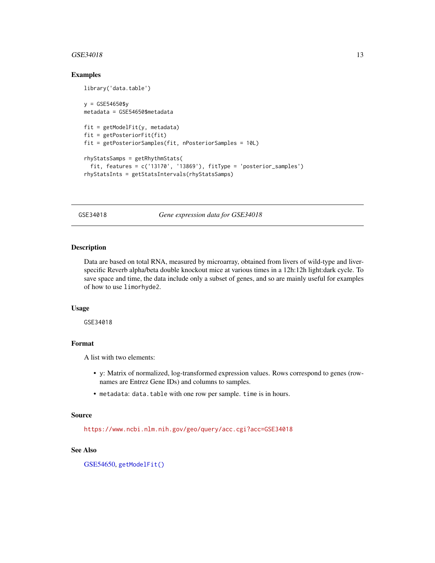#### <span id="page-12-0"></span> $GSE34018$  13

### Examples

library('data.table')

```
y = GSE54650$y
metadata = GSE54650$metadata
fit = getModelFit(y, metadata)fit = getPosteriorFit(fit)
fit = getPosteriorSamples(fit, nPosteriorSamples = 10L)
rhyStatsSamps = getRhythmStats(
 fit, features = c('13170', '13869'), fitType = 'posterior_samples')
rhyStatsInts = getStatsIntervals(rhyStatsSamps)
```
<span id="page-12-1"></span>GSE34018 *Gene expression data for GSE34018*

# Description

Data are based on total RNA, measured by microarray, obtained from livers of wild-type and liverspecific Reverb alpha/beta double knockout mice at various times in a 12h:12h light:dark cycle. To save space and time, the data include only a subset of genes, and so are mainly useful for examples of how to use limorhyde2.

#### Usage

GSE34018

### Format

A list with two elements:

- y: Matrix of normalized, log-transformed expression values. Rows correspond to genes (rownames are Entrez Gene IDs) and columns to samples.
- metadata: data.table with one row per sample. time is in hours.

#### Source

<https://www.ncbi.nlm.nih.gov/geo/query/acc.cgi?acc=GSE34018>

#### See Also

[GSE54650,](#page-13-1) [getModelFit\(\)](#page-5-1)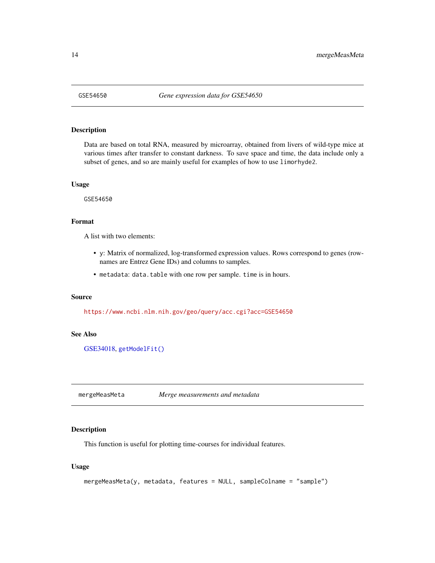<span id="page-13-1"></span><span id="page-13-0"></span>

# Description

Data are based on total RNA, measured by microarray, obtained from livers of wild-type mice at various times after transfer to constant darkness. To save space and time, the data include only a subset of genes, and so are mainly useful for examples of how to use limorhyde2.

#### Usage

GSE54650

#### Format

A list with two elements:

- y: Matrix of normalized, log-transformed expression values. Rows correspond to genes (rownames are Entrez Gene IDs) and columns to samples.
- metadata: data.table with one row per sample. time is in hours.

# Source

<https://www.ncbi.nlm.nih.gov/geo/query/acc.cgi?acc=GSE54650>

#### See Also

[GSE34018,](#page-12-1) [getModelFit\(\)](#page-5-1)

mergeMeasMeta *Merge measurements and metadata*

# Description

This function is useful for plotting time-courses for individual features.

#### Usage

```
mergeMeasMeta(y, metadata, features = NULL, sampleColname = "sample")
```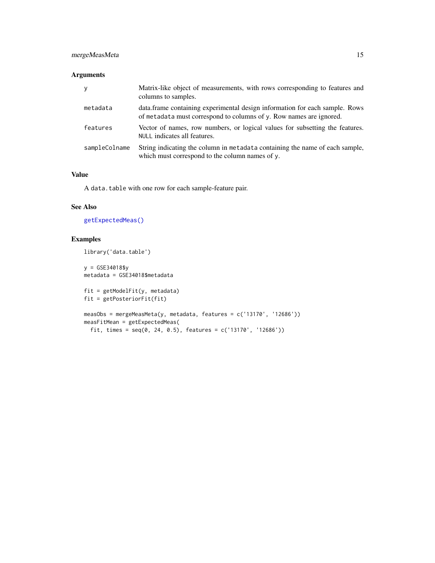# <span id="page-14-0"></span>mergeMeasMeta 15

# Arguments

| y             | Matrix-like object of measurements, with rows corresponding to features and<br>columns to samples.                                                 |
|---------------|----------------------------------------------------------------------------------------------------------------------------------------------------|
| metadata      | data.frame containing experimental design information for each sample. Rows<br>of metadata must correspond to columns of y. Row names are ignored. |
| features      | Vector of names, row numbers, or logical values for subsetting the features.<br>NULL indicates all features.                                       |
| sampleColname | String indicating the column in metadata containing the name of each sample,<br>which must correspond to the column names of y.                    |

# Value

A data.table with one row for each sample-feature pair.

# See Also

[getExpectedMeas\(\)](#page-2-1)

# Examples

library('data.table')

y = GSE34018\$y metadata = GSE34018\$metadata

 $fit = getModelFit(y, metadata)$ fit = getPosteriorFit(fit)

```
measObs = mergeMeasMeta(y, metadata, features = c('13170', '12686'))
measFitMean = getExpectedMeas(
 fit, times = seq(0, 24, 0.5), features = c('13170', '12686'))
```